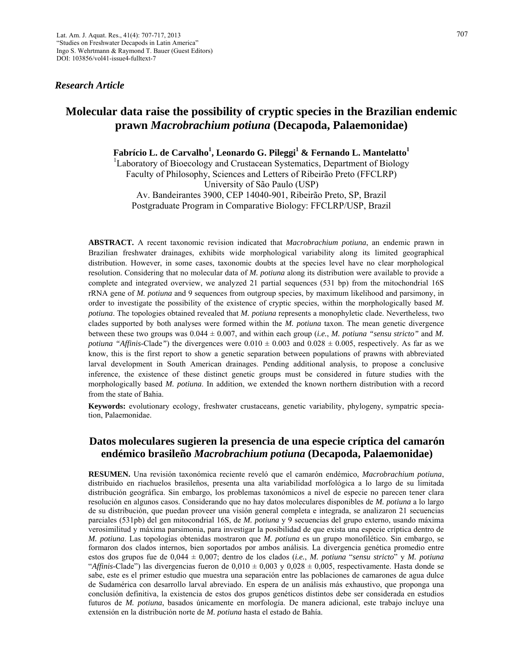## *Research Article*

# **Molecular data raise the possibility of cryptic species in the Brazilian endemic prawn** *Macrobrachium potiuna* **(Decapoda, Palaemonidae)**

Fabrício L. de Carvalho<sup>1</sup>, Leonardo G. Pileggi<sup>1</sup> & Fernando L. Mantelatto<sup>1</sup>

<sup>1</sup>Laboratory of Bioecology and Crustacean Systematics, Department of Biology Faculty of Philosophy, Sciences and Letters of Ribeirão Preto (FFCLRP) University of São Paulo (USP)

Av. Bandeirantes 3900, CEP 14040-901, Ribeirão Preto, SP, Brazil Postgraduate Program in Comparative Biology: FFCLRP/USP, Brazil

**ABSTRACT.** A recent taxonomic revision indicated that *Macrobrachium potiuna*, an endemic prawn in Brazilian freshwater drainages, exhibits wide morphological variability along its limited geographical distribution. However, in some cases, taxonomic doubts at the species level have no clear morphological resolution. Considering that no molecular data of *M. potiuna* along its distribution were available to provide a complete and integrated overview, we analyzed 21 partial sequences (531 bp) from the mitochondrial 16S rRNA gene of *M. potiuna* and 9 sequences from outgroup species, by maximum likelihood and parsimony, in order to investigate the possibility of the existence of cryptic species, within the morphologically based *M. potiuna*. The topologies obtained revealed that *M. potiuna* represents a monophyletic clade. Nevertheless, two clades supported by both analyses were formed within the *M. potiuna* taxon. The mean genetic divergence between these two groups was 0.044 ± 0.007, and within each group (*i.e.*, *M. potiuna "sensu stricto"* and *M. potiuna "Affinis-Clade"*) the divergences were  $0.010 \pm 0.003$  and  $0.028 \pm 0.005$ , respectively. As far as we know, this is the first report to show a genetic separation between populations of prawns with abbreviated larval development in South American drainages. Pending additional analysis, to propose a conclusive inference, the existence of these distinct genetic groups must be considered in future studies with the morphologically based *M. potiuna*. In addition, we extended the known northern distribution with a record from the state of Bahia.

**Keywords:** evolutionary ecology, freshwater crustaceans, genetic variability, phylogeny, sympatric speciation, Palaemonidae.

## **Datos moleculares sugieren la presencia de una especie críptica del camarón endémico brasileño** *Macrobrachium potiuna* **(Decapoda, Palaemonidae)**

**RESUMEN.** Una revisión taxonómica reciente reveló que el camarón endémico, *Macrobrachium potiuna*, distribuido en riachuelos brasileños, presenta una alta variabilidad morfológica a lo largo de su limitada distribución geográfica. Sin embargo, los problemas taxonómicos a nivel de especie no parecen tener clara resolución en algunos casos. Considerando que no hay datos moleculares disponibles de *M. potiuna* a lo largo de su distribución, que puedan proveer una visión general completa e integrada, se analizaron 21 secuencias parciales (531pb) del gen mitocondrial 16S, de *M. potiuna* y 9 secuencias del grupo externo, usando máxima verosimilitud y máxima parsimonia, para investigar la posibilidad de que exista una especie críptica dentro de *M. potiuna*. Las topologías obtenidas mostraron que *M. potiuna* es un grupo monofilético. Sin embargo, se formaron dos clados internos, bien soportados por ambos análisis. La divergencia genética promedio entre estos dos grupos fue de 0,044 ± 0,007; dentro de los clados (*i.e.*, *M. potiuna* "*sensu stricto*" y *M. potiuna* "*Affinis*-Clade") las divergencias fueron de  $0.010 \pm 0.003$  y  $0.028 \pm 0.005$ , respectivamente. Hasta donde se sabe, este es el primer estudio que muestra una separación entre las poblaciones de camarones de agua dulce de Sudamérica con desarrollo larval abreviado. En espera de un análisis más exhaustivo, que proponga una conclusión definitiva, la existencia de estos dos grupos genéticos distintos debe ser considerada en estudios futuros de *M. potiuna*, basados únicamente en morfología. De manera adicional, este trabajo incluye una extensión en la distribución norte de *M. potiuna* hasta el estado de Bahía.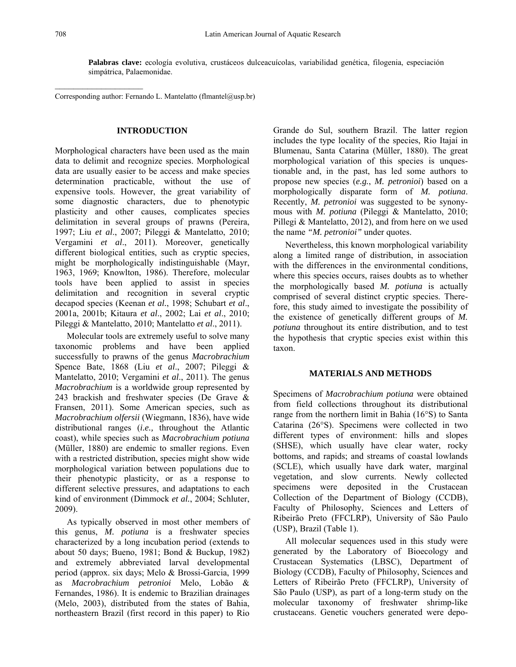$\mathcal{L}_\text{max}$ 

**Palabras clave:** ecología evolutiva, crustáceos dulceacuícolas, variabilidad genética, filogenia, especiación simpátrica, Palaemonidae.

Corresponding author: Fernando L. Mantelatto (flmantel@usp.br)

## **INTRODUCTION**

Morphological characters have been used as the main data to delimit and recognize species. Morphological data are usually easier to be access and make species determination practicable, without the use of expensive tools. However, the great variability of some diagnostic characters, due to phenotypic plasticity and other causes, complicates species delimitation in several groups of prawns (Pereira, 1997; Liu *et al*., 2007; Pileggi & Mantelatto, 2010; Vergamini *et al*., 2011). Moreover, genetically different biological entities, such as cryptic species, might be morphologically indistinguishable (Mayr, 1963, 1969; Knowlton, 1986). Therefore, molecular tools have been applied to assist in species delimitation and recognition in several cryptic decapod species (Keenan *et al.*, 1998; Schubart *et al*., 2001a, 2001b; Kitaura *et al*., 2002; Lai *et al*., 2010; Pileggi & Mantelatto, 2010; Mantelatto *et al*., 2011).

Molecular tools are extremely useful to solve many taxonomic problems and have been applied successfully to prawns of the genus *Macrobrachium*  Spence Bate, 1868 (Liu *et al*., 2007; Pileggi & Mantelatto, 2010; Vergamini *et al*., 2011). The genus *Macrobrachium* is a worldwide group represented by 243 brackish and freshwater species (De Grave & Fransen, 2011). Some American species, such as *Macrobrachium olfersii* (Wiegmann, 1836), have wide distributional ranges (*i.e.,* throughout the Atlantic coast), while species such as *Macrobrachium potiuna* (Müller, 1880) are endemic to smaller regions. Even with a restricted distribution, species might show wide morphological variation between populations due to their phenotypic plasticity, or as a response to different selective pressures, and adaptations to each kind of environment (Dimmock *et al.*, 2004; Schluter, 2009).

As typically observed in most other members of this genus, *M. potiuna* is a freshwater species characterized by a long incubation period (extends to about 50 days; Bueno, 1981; Bond & Buckup, 1982) and extremely abbreviated larval developmental period (approx. six days; Melo & Brossi-Garcia, 1999 as *Macrobrachium petronioi* Melo, Lobão & Fernandes, 1986). It is endemic to Brazilian drainages (Melo, 2003), distributed from the states of Bahia, northeastern Brazil (first record in this paper) to Rio

Grande do Sul, southern Brazil. The latter region includes the type locality of the species, Rio Itajaí in Blumenau, Santa Catarina (Müller, 1880). The great morphological variation of this species is unquestionable and, in the past, has led some authors to propose new species (*e.g.*, *M. petronioi*) based on a morphologically disparate form of *M. potiuna*. Recently, *M. petronioi* was suggested to be synonymous with *M. potiuna* (Pileggi & Mantelatto, 2010; Pillegi & Mantelatto, 2012), and from here on we used the name *"M. petronioi"* under quotes.

Nevertheless, this known morphological variability along a limited range of distribution, in association with the differences in the environmental conditions, where this species occurs, raises doubts as to whether the morphologically based *M. potiuna* is actually comprised of several distinct cryptic species. Therefore, this study aimed to investigate the possibility of the existence of genetically different groups of *M. potiuna* throughout its entire distribution, and to test the hypothesis that cryptic species exist within this taxon.

#### **MATERIALS AND METHODS**

Specimens of *Macrobrachium potiuna* were obtained from field collections throughout its distributional range from the northern limit in Bahia (16°S) to Santa Catarina (26°S). Specimens were collected in two different types of environment: hills and slopes (SHSE), which usually have clear water, rocky bottoms, and rapids; and streams of coastal lowlands (SCLE), which usually have dark water, marginal vegetation, and slow currents. Newly collected specimens were deposited in the Crustacean Collection of the Department of Biology (CCDB), Faculty of Philosophy, Sciences and Letters of Ribeirão Preto (FFCLRP), University of São Paulo (USP), Brazil (Table 1).

All molecular sequences used in this study were generated by the Laboratory of Bioecology and Crustacean Systematics (LBSC), Department of Biology (CCDB), Faculty of Philosophy, Sciences and Letters of Ribeirão Preto (FFCLRP), University of São Paulo (USP), as part of a long-term study on the molecular taxonomy of freshwater shrimp-like crustaceans. Genetic vouchers generated were depo-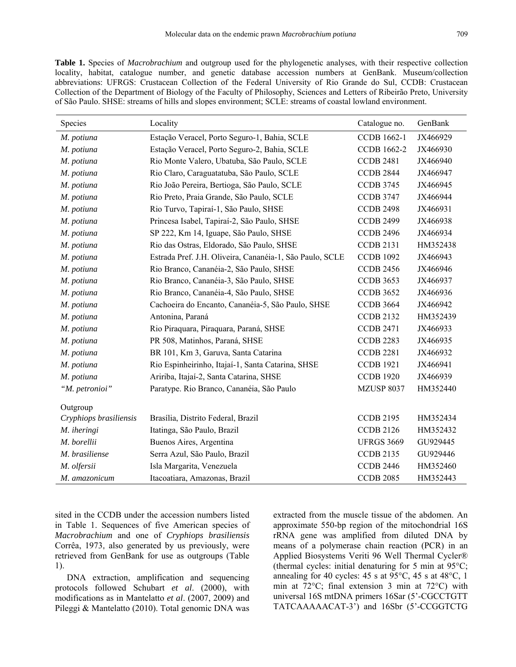**Table 1.** Species of *Macrobrachium* and outgroup used for the phylogenetic analyses, with their respective collection locality, habitat, catalogue number, and genetic database accession numbers at GenBank. Museum/collection abbreviations: UFRGS: Crustacean Collection of the Federal University of Rio Grande do Sul, CCDB: Crustacean Collection of the Department of Biology of the Faculty of Philosophy, Sciences and Letters of Ribeirão Preto, University of São Paulo. SHSE: streams of hills and slopes environment; SCLE: streams of coastal lowland environment.

| Species                | Locality                                                 | Catalogue no.      | GenBank  |
|------------------------|----------------------------------------------------------|--------------------|----------|
| M. potiuna             | Estação Veracel, Porto Seguro-1, Bahia, SCLE             | <b>CCDB</b> 1662-1 | JX466929 |
| M. potiuna             | Estação Veracel, Porto Seguro-2, Bahia, SCLE             | <b>CCDB 1662-2</b> | JX466930 |
| M. potiuna             | Rio Monte Valero, Ubatuba, São Paulo, SCLE               | <b>CCDB 2481</b>   | JX466940 |
| M. potiuna             | Rio Claro, Caraguatatuba, São Paulo, SCLE                | <b>CCDB 2844</b>   | JX466947 |
| M. potiuna             | Rio João Pereira, Bertioga, São Paulo, SCLE              | <b>CCDB 3745</b>   | JX466945 |
| M. potiuna             | Rio Preto, Praia Grande, São Paulo, SCLE                 | <b>CCDB 3747</b>   | JX466944 |
| M. potiuna             | Rio Turvo, Tapiraí-1, São Paulo, SHSE                    | <b>CCDB 2498</b>   | JX466931 |
| M. potiuna             | Princesa Isabel, Tapiraí-2, São Paulo, SHSE              | <b>CCDB 2499</b>   | JX466938 |
| M. potiuna             | SP 222, Km 14, Iguape, São Paulo, SHSE                   | <b>CCDB 2496</b>   | JX466934 |
| M. potiuna             | Rio das Ostras, Eldorado, São Paulo, SHSE                | <b>CCDB 2131</b>   | HM352438 |
| M. potiuna             | Estrada Pref. J.H. Oliveira, Cananéia-1, São Paulo, SCLE | <b>CCDB 1092</b>   | JX466943 |
| M. potiuna             | Rio Branco, Cananéia-2, São Paulo, SHSE                  | <b>CCDB 2456</b>   | JX466946 |
| M. potiuna             | Rio Branco, Cananéia-3, São Paulo, SHSE                  | <b>CCDB 3653</b>   | JX466937 |
| M. potiuna             | Rio Branco, Cananéia-4, São Paulo, SHSE                  | <b>CCDB 3652</b>   | JX466936 |
| M. potiuna             | Cachoeira do Encanto, Cananéia-5, São Paulo, SHSE        | <b>CCDB 3664</b>   | JX466942 |
| M. potiuna             | Antonina, Paraná                                         | <b>CCDB 2132</b>   | HM352439 |
| M. potiuna             | Rio Piraquara, Piraquara, Paraná, SHSE                   | <b>CCDB 2471</b>   | JX466933 |
| M. potiuna             | PR 508, Matinhos, Paraná, SHSE                           | <b>CCDB 2283</b>   | JX466935 |
| M. potiuna             | BR 101, Km 3, Garuva, Santa Catarina                     | <b>CCDB 2281</b>   | JX466932 |
| M. potiuna             | Rio Espinheirinho, Itajaí-1, Santa Catarina, SHSE        | <b>CCDB 1921</b>   | JX466941 |
| M. potiuna             | Aririba, Itajaí-2, Santa Catarina, SHSE                  | <b>CCDB 1920</b>   | JX466939 |
| "M. petronioi"         | Paratype. Rio Branco, Cananéia, São Paulo                | <b>MZUSP 8037</b>  | HM352440 |
| Outgroup               |                                                          |                    |          |
| Cryphiops brasiliensis | Brasília, Distrito Federal, Brazil                       | <b>CCDB 2195</b>   | HM352434 |
| M. iheringi            | Itatinga, São Paulo, Brazil                              | <b>CCDB 2126</b>   | HM352432 |
| M. borellii            | Buenos Aires, Argentina                                  | <b>UFRGS 3669</b>  | GU929445 |
| M. brasiliense         | Serra Azul, São Paulo, Brazil                            | <b>CCDB 2135</b>   | GU929446 |
| M. olfersii            | Isla Margarita, Venezuela                                | <b>CCDB 2446</b>   | HM352460 |
| M. amazonicum          | Itacoatiara, Amazonas, Brazil                            | <b>CCDB 2085</b>   | HM352443 |

sited in the CCDB under the accession numbers listed in Table 1. Sequences of five American species of *Macrobrachium* and one of *Cryphiops brasiliensis* Corrêa, 1973, also generated by us previously, were retrieved from GenBank for use as outgroups (Table 1).

DNA extraction, amplification and sequencing protocols followed Schubart *et al*. (2000), with modifications as in Mantelatto *et al*. (2007, 2009) and Pileggi & Mantelatto (2010). Total genomic DNA was extracted from the muscle tissue of the abdomen. An approximate 550-bp region of the mitochondrial 16S rRNA gene was amplified from diluted DNA by means of a polymerase chain reaction (PCR) in an Applied Biosystems Veriti 96 Well Thermal Cycler® (thermal cycles: initial denaturing for 5 min at 95°C; annealing for 40 cycles: 45 s at  $95^{\circ}$ C, 45 s at  $48^{\circ}$ C, 1 min at 72°C; final extension 3 min at 72°C) with universal 16S mtDNA primers 16Sar (5'-CGCCTGTT TATCAAAAACAT-3') and 16Sbr (5'-CCGGTCTG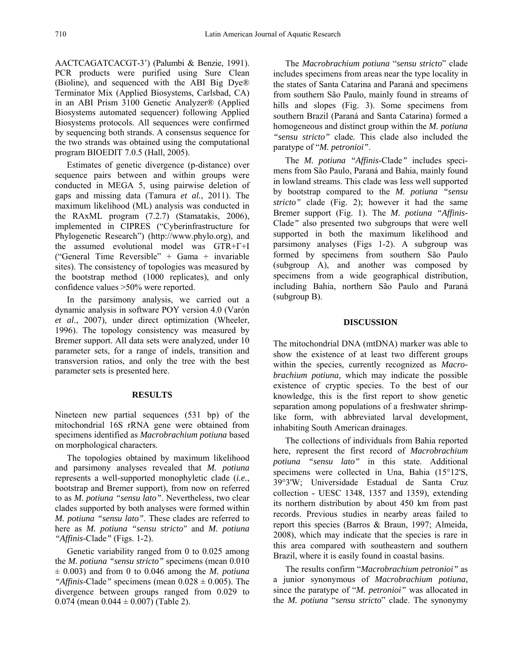AACTCAGATCACGT-3') (Palumbi & Benzie, 1991). PCR products were purified using Sure Clean (Bioline), and sequenced with the ABI Big Dye® Terminator Mix (Applied Biosystems, Carlsbad, CA) in an ABI Prism 3100 Genetic Analyzer® (Applied Biosystems automated sequencer) following Applied Biosystems protocols. All sequences were confirmed by sequencing both strands. A consensus sequence for the two strands was obtained using the computational program BIOEDIT 7.0.5 (Hall, 2005).

Estimates of genetic divergence (p-distance) over sequence pairs between and within groups were conducted in MEGA 5, using pairwise deletion of gaps and missing data (Tamura *et al.*, 2011). The maximum likelihood (ML) analysis was conducted in the RAxML program (7.2.7) (Stamatakis, 2006), implemented in CIPRES ("Cyberinfrastructure for Phylogenetic Research") (http://www.phylo.org), and the assumed evolutional model was GTR+Γ+I ("General Time Reversible" + Gama + invariable sites). The consistency of topologies was measured by the bootstrap method (1000 replicates), and only confidence values >50% were reported.

In the parsimony analysis, we carried out a dynamic analysis in software POY version 4.0 (Varón *et al*., 2007), under direct optimization (Wheeler, 1996). The topology consistency was measured by Bremer support. All data sets were analyzed, under 10 parameter sets, for a range of indels, transition and transversion ratios, and only the tree with the best parameter sets is presented here.

### **RESULTS**

Nineteen new partial sequences (531 bp) of the mitochondrial 16S rRNA gene were obtained from specimens identified as *Macrobrachium potiuna* based on morphological characters.

The topologies obtained by maximum likelihood and parsimony analyses revealed that *M. potiuna* represents a well-supported monophyletic clade (*i.e.*, bootstrap and Bremer support), from now on referred to as *M. potiuna "sensu lato"*. Nevertheless, two clear clades supported by both analyses were formed within *M. potiuna "sensu lato"*. These clades are referred to here as *M. potiuna "sensu stricto"* and *M. potiuna "Affinis-*Clade*"* (Figs. 1-2).

Genetic variability ranged from 0 to 0.025 among the *M. potiuna "sensu stricto"* specimens (mean 0.010  $\pm$  0.003) and from 0 to 0.046 among the *M. potiuna "Affinis-Clade"* specimens (mean  $0.028 \pm 0.005$ ). The divergence between groups ranged from 0.029 to 0.074 (mean  $0.044 \pm 0.007$ ) (Table 2).

The *Macrobrachium potiuna* "*sensu stricto*" clade includes specimens from areas near the type locality in the states of Santa Catarina and Paraná and specimens from southern São Paulo, mainly found in streams of hills and slopes (Fig. 3). Some specimens from southern Brazil (Paraná and Santa Catarina) formed a homogeneous and distinct group within the *M. potiuna "sensu stricto"* clade*.* This clade also included the paratype of "*M. petronioi"*.

The *M. potiuna "Affinis-*Clade*"* includes specimens from São Paulo, Paraná and Bahia, mainly found in lowland streams. This clade was less well supported by bootstrap compared to the *M. potiuna "sensu stricto"* clade (Fig. 2); however it had the same Bremer support (Fig. 1). The *M*. *potiuna "Affinis-*Clade*"* also presented two subgroups that were well supported in both the maximum likelihood and parsimony analyses (Figs 1-2). A subgroup was formed by specimens from southern São Paulo (subgroup A), and another was composed by specimens from a wide geographical distribution, including Bahia, northern São Paulo and Paraná (subgroup B).

#### **DISCUSSION**

The mitochondrial DNA (mtDNA) marker was able to show the existence of at least two different groups within the species, currently recognized as *Macrobrachium potiuna,* which may indicate the possible existence of cryptic species. To the best of our knowledge, this is the first report to show genetic separation among populations of a freshwater shrimplike form, with abbreviated larval development, inhabiting South American drainages.

The collections of individuals from Bahia reported here, represent the first record of *Macrobrachium potiuna "sensu lato"* in this state. Additional specimens were collected in Una, Bahia (15°12'S, 39°3'W; Universidade Estadual de Santa Cruz collection - UESC 1348, 1357 and 1359), extending its northern distribution by about 450 km from past records. Previous studies in nearby areas failed to report this species (Barros & Braun, 1997; Almeida, 2008), which may indicate that the species is rare in this area compared with southeastern and southern Brazil, where it is easily found in coastal basins.

The results confirm "*Macrobrachium petronioi"* as a junior synonymous of *Macrobrachium potiuna*, since the paratype of "*M. petronioi"* was allocated in the *M. potiuna* "*sensu stricto*" clade. The synonymy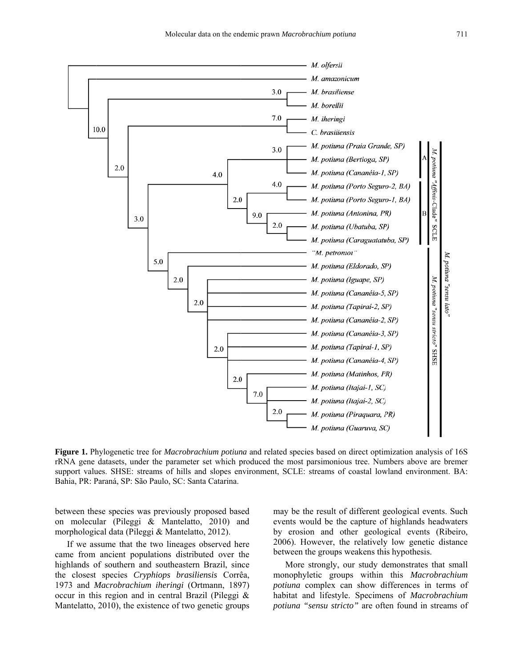

Figure 1. Phylogenetic tree for *Macrobrachium potiuna* and related species based on direct optimization analysis of 16S rRNA gene datasets, under the parameter set which produced the most parsimonious tree. Numbers above are bremer support values. SHSE: streams of hills and slopes environment, SCLE: streams of coastal lowland environment. BA: Bahia, PR: Paraná, SP: São Paulo, SC: Santa Catarina.

between these species was previously proposed based on molecular (Pileggi & Mantelatto, 2010) and morphological data (Pileggi & Mantelatto, 2012).

If we assume that the two lineages observed here came from ancient populations distributed over the highlands of southern and southeastern Brazil, since the closest species Cryphiops brasiliensis Corrêa, 1973 and Macrobrachium iheringi (Ortmann, 1897) occur in this region and in central Brazil (Pileggi  $\&$ Mantelatto, 2010), the existence of two genetic groups may be the result of different geological events. Such events would be the capture of highlands headwaters by erosion and other geological events (Ribeiro, 2006). However, the relatively low genetic distance between the groups weakens this hypothesis.

More strongly, our study demonstrates that small monophyletic groups within this *Macrobrachium* potiuna complex can show differences in terms of habitat and lifestyle. Specimens of *Macrobrachium* potiuna "sensu stricto" are often found in streams of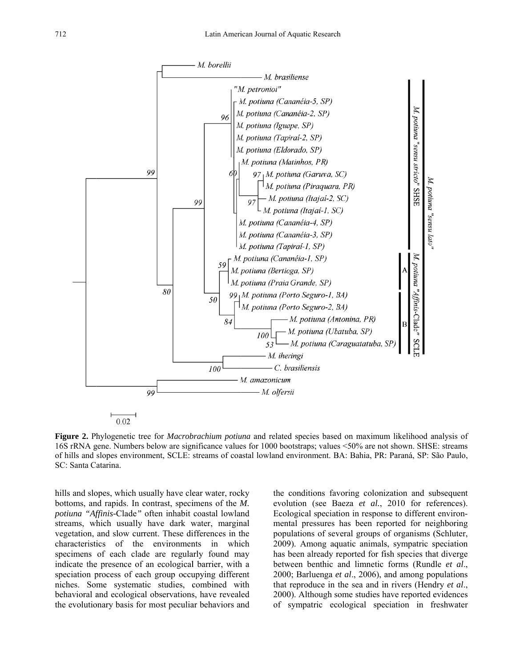

Figure 2. Phylogenetic tree for Macrobrachium potiuna and related species based on maximum likelihood analysis of 16S rRNA gene. Numbers below are significance values for 1000 bootstraps; values <50% are not shown. SHSE; streams of hills and slopes environment, SCLE: streams of coastal lowland environment. BA: Bahia, PR: Paraná, SP: São Paulo, SC: Santa Catarina.

hills and slopes, which usually have clear water, rocky bottoms, and rapids. In contrast, specimens of the M. potiuna "Affinis-Clade" often inhabit coastal lowland streams, which usually have dark water, marginal vegetation, and slow current. These differences in the characteristics of the environments in which specimens of each clade are regularly found may indicate the presence of an ecological barrier, with a speciation process of each group occupying different niches. Some systematic studies, combined with behavioral and ecological observations, have revealed the evolutionary basis for most peculiar behaviors and the conditions favoring colonization and subsequent evolution (see Baeza et al., 2010 for references). Ecological speciation in response to different environmental pressures has been reported for neighboring populations of several groups of organisms (Schluter, 2009). Among aquatic animals, sympatric speciation has been already reported for fish species that diverge between benthic and limnetic forms (Rundle et al., 2000; Barluenga et al., 2006), and among populations that reproduce in the sea and in rivers (Hendry *et al.*, 2000). Although some studies have reported evidences of sympatric ecological speciation in freshwater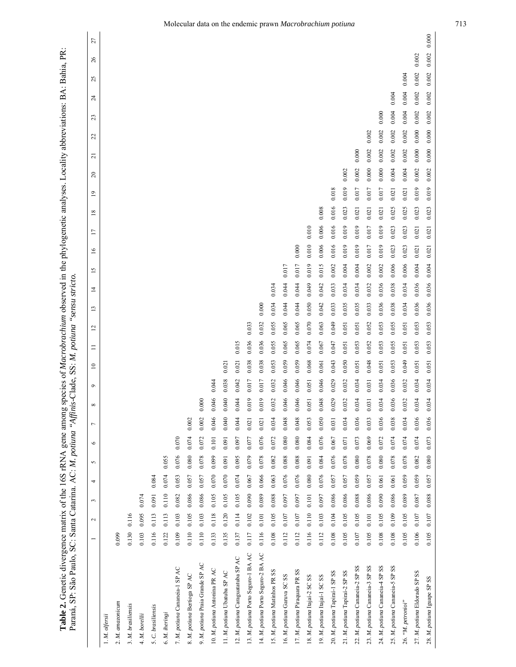| Paraná, SP: São Paulo, SC: Santa Catarina. AC: M. potiuna "Affini<br>Table 2. Genetic divergence matrix of the 16S rRNA gene among |         |           |                |           |           |         |                |          |         | s-Clade, SS: M. potiuna |          |                |              | sensu stricto  |                 |                 |                 |                |                       |                |       |           | species of Macrobrachium observed in the phylogenetic analyses. Locality abbreviations: BA: Bahia, |       | $\mathbb{R}$ |       |  |
|------------------------------------------------------------------------------------------------------------------------------------|---------|-----------|----------------|-----------|-----------|---------|----------------|----------|---------|-------------------------|----------|----------------|--------------|----------------|-----------------|-----------------|-----------------|----------------|-----------------------|----------------|-------|-----------|----------------------------------------------------------------------------------------------------|-------|--------------|-------|--|
|                                                                                                                                    |         | $\sim$    | $\mathfrak{c}$ | 4         | $\sim$    | $\circ$ | $\overline{ }$ | $\infty$ | $\circ$ | $\Xi$                   | $\equiv$ | $\overline{c}$ | $\mathbf{L}$ | $\overline{4}$ | $\overline{15}$ | $\overline{16}$ | $\overline{17}$ | $\overline{8}$ | 20<br>$\overline{19}$ | $\overline{a}$ | S     | 23        | $\mathbb{Z}$                                                                                       | 25    | 26           | 27    |  |
| 1. M. olfersii                                                                                                                     |         |           |                |           |           |         |                |          |         |                         |          |                |              |                |                 |                 |                 |                |                       |                |       |           |                                                                                                    |       |              |       |  |
| 2. M. amazonicum                                                                                                                   | 0.099   |           |                |           |           |         |                |          |         |                         |          |                |              |                |                 |                 |                 |                |                       |                |       |           |                                                                                                    |       |              |       |  |
| 3. M. brasiliensis                                                                                                                 | 0.130   | 0.116     |                |           |           |         |                |          |         |                         |          |                |              |                |                 |                 |                 |                |                       |                |       |           |                                                                                                    |       |              |       |  |
| 4. M. borellii                                                                                                                     | 0.103   | 0.095     | 0.074          |           |           |         |                |          |         |                         |          |                |              |                |                 |                 |                 |                |                       |                |       |           |                                                                                                    |       |              |       |  |
| 5. C. brasiliensis                                                                                                                 | 0.116   | 0.113     | 0.091          | 0.084     |           |         |                |          |         |                         |          |                |              |                |                 |                 |                 |                |                       |                |       |           |                                                                                                    |       |              |       |  |
| 6. M. iheringi                                                                                                                     | 0.122   | 0.113     | $0.110$        | 0.074     | 0.055     |         |                |          |         |                         |          |                |              |                |                 |                 |                 |                |                       |                |       |           |                                                                                                    |       |              |       |  |
| 7. M. potiuna Cananeia-1 SP AC                                                                                                     | 0.109   | 0.103     | 0.082          | 0.053     | 0.076     | 0.070   |                |          |         |                         |          |                |              |                |                 |                 |                 |                |                       |                |       |           |                                                                                                    |       |              |       |  |
| 8. M. potiuna Bertioga SP AC                                                                                                       | 0.110   | 0.105     | 0.086          | 0.057     | 0.080     | 0.074   | 0.002          |          |         |                         |          |                |              |                |                 |                 |                 |                |                       |                |       |           |                                                                                                    |       |              |       |  |
| 9. M. potiuna Praia Grande SP AC                                                                                                   | 0.110   | 0.103     | 0.086          | 0.057     | 0.078     | 0.072   | 0.002          | 0.000    |         |                         |          |                |              |                |                 |                 |                 |                |                       |                |       |           |                                                                                                    |       |              |       |  |
| 10. M. potiuna Antonina PR AC                                                                                                      | 0.133   | 0.118     | 0.105          | $0.070\,$ | 0.099     | 0.101   | 0.046          | 0.046    | 0.044   |                         |          |                |              |                |                 |                 |                 |                |                       |                |       |           |                                                                                                    |       |              |       |  |
| 11. M. potiuna Ubatuba SP AC                                                                                                       | 0.135   | 0.120     | 0.105          | 0.070     | 0.091     | 0.091   | 0.040          | 0.040    | 0.038   | 0.021                   |          |                |              |                |                 |                 |                 |                |                       |                |       |           |                                                                                                    |       |              |       |  |
| 12. M. potiuna Caraguatatuba SP AC                                                                                                 | 0.137   | 0.114     | 0.105          | 0.074     | 0.095     | 0.097   | 0.044          | 0.044    | 0.042   | 0.021                   | 0.015    |                |              |                |                 |                 |                 |                |                       |                |       |           |                                                                                                    |       |              |       |  |
| 13. M. potiuna Porto Seguro-1 BA AC                                                                                                | $0.117$ | 0.102     | 0.090          | 0.067     | 0.079     | 0.077   | 0.021          | 0.019    | 0.017   | 0.038                   | 0.036    | 0.033          |              |                |                 |                 |                 |                |                       |                |       |           |                                                                                                    |       |              |       |  |
| 14. M. potiuna Porto Seguro-2 BA AC                                                                                                | 0.116   | 0.101     | 0.089          | 0.066     | 0.078     | 0.076   | 0.021          | 0.019    | 0.017   | 0.038                   | 0.036    | 0.032          | 0.000        |                |                 |                 |                 |                |                       |                |       |           |                                                                                                    |       |              |       |  |
| SS<br>15. M. potiuna Matinhos PR                                                                                                   | 0.108   | 0.105     | 0.088          | 0.063     | 0.082     | 0.072   | 0.034          | 0.032    | 0.032   | 0.053                   | 0.055    | 0.055          | 0.034        | 0.034          |                 |                 |                 |                |                       |                |       |           |                                                                                                    |       |              |       |  |
| 16. M. potiuna Garuva SC SS                                                                                                        | 0.112   | $0.107\,$ | 0.097          | 0.076     | 0.088     | 0.080   | 0.048          | 0.046    | 0.046   | 0.059                   | 0.065    | 0.065          | 0.044        | 0.044          | 0.017           |                 |                 |                |                       |                |       |           |                                                                                                    |       |              |       |  |
| 17. M. potiuna Piraquara PR SS                                                                                                     | 0.112   | $0.107\,$ | 0.097          | 0.076     | 0.088     | 0.080   | 0.048          | 0.046    | 0.046   | 0.059                   | 0.065    | 0.065          | 0.044        | 0.044          | 0.017           | 0.000           |                 |                |                       |                |       |           |                                                                                                    |       |              |       |  |
| SS<br>18. M. potiuna Itajaí-2 SC                                                                                                   | 0.116   | 0.110     | 0.101          | 0.080     | 0.091     | 0.084   | 0.053          | 0.051    | 0.051   | 0.068                   | 0.074    | 0.070          | 0.050        | 0.049          | 0.019           | 0.010           | 0.010           |                |                       |                |       |           |                                                                                                    |       |              |       |  |
| 19. M. potiuna Itajaí-1 SC SS                                                                                                      | 0.112   | 0.103     | 0.097          | 0.076     | $0.084\,$ | 0.076   | 0.050          | 0.048    | 0.046   | 0.061                   | 0.067    | 0.063          | 0.042        | 0.042          | 0.015           | 0.006           | 0.006           | 0.008          |                       |                |       |           |                                                                                                    |       |              |       |  |
| 20. M. potiuna Tapirai-1 SP SS                                                                                                     | 0.108   | 0.104     | 0.086          | 0.057     | 0.076     | 0.067   | 0.031          | 0.029    | 0.029   | 0.043                   | 0.047    | 0.049          | 0.033        | 0.033          | 0.002           | 0.016           | 0.016           | 0.018<br>0.016 |                       |                |       |           |                                                                                                    |       |              |       |  |
| 21. M. potiuna Tapirai-2 SP SS                                                                                                     | 0.105   | 0.105     | 0.086          | 0.057     | 0.078     | 0.071   | 0.034          | 0.032    | 0.032   | 0.050                   | 0.051    | 0.051          | 0.035        | 0.034          | 0.004           | 0.019           | 0.019           | 0.019<br>0.023 | 0.002                 |                |       |           |                                                                                                    |       |              |       |  |
| 22. M. potiuna Cananeia-2 SP SS                                                                                                    | 0.107   | 0.105     | 0.088          | 0.059     | 0.080     | 0.073   | 0.036          | 0.034    | 0.034   | 0.051                   | 0.053    | 0.051          | 0.035        | 0.034          | 0.004           | 0.019           | 0.019           | 0.017<br>0.021 | 0.002                 | 0.000          |       |           |                                                                                                    |       |              |       |  |
| 23. M. potiuna Cananeia-3 SP SS                                                                                                    | 0.105   | 0.101     | 0.086          | 0.057     | 0.078     | 0.069   | 0.033          | 0.031    | 0.031   | 0.048                   | 0.052    | 0.052          | 0.033        | 0.032          | 0.002           | 0.017           | 0.017           | 0.021          | 0.000<br>0.017        | 0.002          | 0.002 |           |                                                                                                    |       |              |       |  |
| 24. M. potiuna Cananeia-4 SP SS                                                                                                    | 0.108   | 0.105     | 0.090          | 0.061     | 0.080     | 0.072   | 0.036          | 0.034    | 0.034   | 0.051                   | 0.053    | 0.053          | 0.036        | 0.036          | 0.002           | 0.019           | 0.019           | 0.021          | 0.000<br>0.017        | 0.002          | 0.002 | 0.000     |                                                                                                    |       |              |       |  |
| 25. M. potiuna Cananeia-5 SP SS                                                                                                    | 0.108   | 0.109     | 0.086          | 0.061     | 0.078     | 0.074   | 0.038          | 0.036    | 0.036   | 0.053                   | 0.055    | 0.055          | 0.038        | 0.038          | 0.006           | 0.023           | 0.023           | 0.021<br>0.025 | 0.004                 | 0.002          | 0.002 | 0.004     | 0.004                                                                                              |       |              |       |  |
| 26. "M. petronioi"                                                                                                                 | 0.105   | 0.105     | 0.089          | 0.059     | 0.078     | 0.074   | 0.034          | 0.032    | 0.032   | 640(                    | 0.051    | 0.051          | 0.034        | 0.034          | 0.006           | 0.023           | 0.023           | 0.021<br>0.025 | 0.004                 | 0.002          | 0.002 | 0.004     | 0.004                                                                                              | 0.004 |              |       |  |
| 27. M. potiuna Eldorado SP SS                                                                                                      | 0.106   | 0.107     | 0.087          | 0.059     | 0.082     | 0.074   | 0.036          | 0.034    | 0.034   | 0.051                   | 0.053    | 0.053          | 0.036        | 0.036          | 0.004           | 0.021           | 0.021           | 0.023          | 0.002<br>0.019        | 0.000          | 0.000 | $0.002\,$ | 0.002                                                                                              | 0.002 | 0.002        |       |  |
| 28. M. potiuna Iguape SP SS                                                                                                        | 0.105   | 0.107     | 0.088          | 0.057     | 0.080     | 0.073   | 0.036          | 0.034    | 0.034   | 0.051                   | 0.053    | 0.053          | 0.036        | 0.036          | 0.004           | 0.021           | 0.021           | 0.019<br>0.023 | 0.002                 | 0.000          | 0.000 | 0.002     | 0.002                                                                                              | 0.002 | 0.002        | 0.000 |  |
|                                                                                                                                    |         |           |                |           |           |         |                |          |         |                         |          |                |              |                |                 |                 |                 |                |                       |                |       |           |                                                                                                    |       |              |       |  |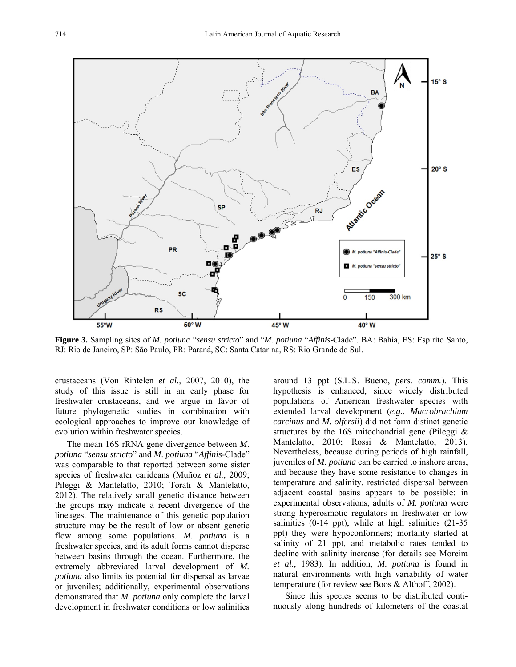

**Figure 3.** Sampling sites of *M. potiuna* "*sensu stricto*" and "*M. potiuna* "*Affinis*-Clade". BA: Bahia, ES: Espirito Santo, RJ: Rio de Janeiro, SP: São Paulo, PR: Paraná, SC: Santa Catarina, RS: Rio Grande do Sul.

crustaceans (Von Rintelen *et al.*, 2007, 2010), the study of this issue is still in an early phase for freshwater crustaceans, and we argue in favor of future phylogenetic studies in combination with ecological approaches to improve our knowledge of evolution within freshwater species.

The mean 16S rRNA gene divergence between *M*. *potiuna* "*sensu stricto*" and *M*. *potiuna* "*Affinis*-Clade" was comparable to that reported between some sister species of freshwater carideans (Muñoz *et al.,* 2009; Pileggi & Mantelatto, 2010; Torati & Mantelatto, 2012). The relatively small genetic distance between the groups may indicate a recent divergence of the lineages. The maintenance of this genetic population structure may be the result of low or absent genetic flow among some populations. *M. potiuna* is a freshwater species, and its adult forms cannot disperse between basins through the ocean. Furthermore, the extremely abbreviated larval development of *M. potiuna* also limits its potential for dispersal as larvae or juveniles; additionally, experimental observations demonstrated that *M. potiuna* only complete the larval development in freshwater conditions or low salinities around 13 ppt (S.L.S. Bueno, *pers. comm.*)*.* This hypothesis is enhanced, since widely distributed populations of American freshwater species with extended larval development (*e.g.*, *Macrobrachium carcinus* and *M. olfersii*) did not form distinct genetic structures by the 16S mitochondrial gene (Pileggi & Mantelatto, 2010; Rossi & Mantelatto, 2013). Nevertheless, because during periods of high rainfall, juveniles of *M. potiuna* can be carried to inshore areas, and because they have some resistance to changes in temperature and salinity, restricted dispersal between adjacent coastal basins appears to be possible: in experimental observations, adults of *M. potiuna* were strong hyperosmotic regulators in freshwater or low salinities (0-14 ppt), while at high salinities (21-35 ppt) they were hypoconformers; mortality started at salinity of 21 ppt, and metabolic rates tended to decline with salinity increase (for details see Moreira *et al.*, 1983). In addition, *M. potiuna* is found in natural environments with high variability of water temperature (for review see Boos & Althoff, 2002).

Since this species seems to be distributed continuously along hundreds of kilometers of the coastal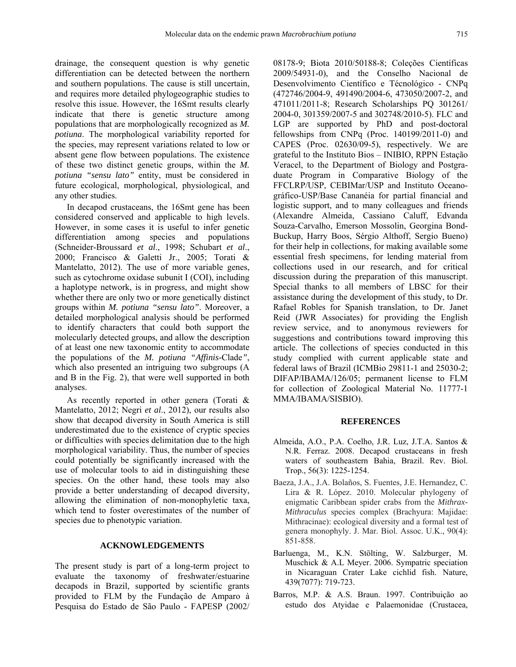drainage, the consequent question is why genetic differentiation can be detected between the northern and southern populations. The cause is still uncertain, and requires more detailed phylogeographic studies to resolve this issue. However, the 16Smt results clearly indicate that there is genetic structure among populations that are morphologically recognized as *M. potiuna*. The morphological variability reported for the species, may represent variations related to low or absent gene flow between populations. The existence of these two distinct genetic groups, within the *M. potiuna "sensu lato"* entity, must be considered in future ecological, morphological, physiological, and any other studies.

In decapod crustaceans, the 16Smt gene has been considered conserved and applicable to high levels. However, in some cases it is useful to infer genetic differentiation among species and populations (Schneider-Broussard *et al*., 1998; Schubart *et al*., 2000; Francisco & Galetti Jr., 2005; Torati & Mantelatto, 2012). The use of more variable genes, such as cytochrome oxidase subunit I (COI), including a haplotype network, is in progress, and might show whether there are only two or more genetically distinct groups within *M. potiuna "sensu lato"*. Moreover, a detailed morphological analysis should be performed to identify characters that could both support the molecularly detected groups, and allow the description of at least one new taxonomic entity to accommodate the populations of the *M. potiuna "Affinis-*Clade*"*, which also presented an intriguing two subgroups (A and B in the Fig. 2), that were well supported in both analyses.

As recently reported in other genera (Torati & Mantelatto, 2012; Negri *et al*., 2012), our results also show that decapod diversity in South America is still underestimated due to the existence of cryptic species or difficulties with species delimitation due to the high morphological variability. Thus, the number of species could potentially be significantly increased with the use of molecular tools to aid in distinguishing these species. On the other hand, these tools may also provide a better understanding of decapod diversity, allowing the elimination of non-monophyletic taxa, which tend to foster overestimates of the number of species due to phenotypic variation.

## **ACKNOWLEDGEMENTS**

The present study is part of a long-term project to evaluate the taxonomy of freshwater/estuarine decapods in Brazil, supported by scientific grants provided to FLM by the Fundação de Amparo à Pesquisa do Estado de São Paulo - FAPESP (2002/ 08178-9; Biota 2010/50188-8; Coleções Científicas 2009/54931-0), and the Conselho Nacional de Desenvolvimento Científico e Técnológico - CNPq (472746/2004-9, 491490/2004-6, 473050/2007-2, and 471011/2011-8; Research Scholarships PQ 301261/ 2004-0, 301359/2007-5 and 302748/2010-5). FLC and LGP are supported by PhD and post-doctoral fellowships from CNPq (Proc. 140199/2011-0) and CAPES (Proc. 02630/09-5), respectively. We are grateful to the Instituto Bios – INIBIO, RPPN Estação Veracel, to the Department of Biology and Postgraduate Program in Comparative Biology of the FFCLRP/USP, CEBIMar/USP and Instituto Oceanográfico-USP/Base Cananéia for partial financial and logistic support, and to many colleagues and friends (Alexandre Almeida, Cassiano Caluff, Edvanda Souza-Carvalho, Emerson Mossolin, Georgina Bond-Buckup, Harry Boos, Sérgio Althoff, Sergio Bueno) for their help in collections, for making available some essential fresh specimens, for lending material from collections used in our research, and for critical discussion during the preparation of this manuscript. Special thanks to all members of LBSC for their assistance during the development of this study, to Dr. Rafael Robles for Spanish translation, to Dr. Janet Reid (JWR Associates) for providing the English review service, and to anonymous reviewers for suggestions and contributions toward improving this article. The collections of species conducted in this study complied with current applicable state and federal laws of Brazil (ICMBio 29811-1 and 25030-2; DIFAP/IBAMA/126/05; permanent license to FLM for collection of Zoological Material No. 11777-1 MMA/IBAMA/SISBIO).

## **REFERENCES**

- Almeida, A.O., P.A. Coelho, J.R. Luz, J.T.A. Santos & N.R. Ferraz. 2008. Decapod crustaceans in fresh waters of southeastern Bahia, Brazil. Rev. Biol. Trop., 56(3): 1225-1254.
- Baeza, J.A., J.A. Bolaños, S. Fuentes, J.E. Hernandez, C. Lira & R. López. 2010. Molecular phylogeny of enigmatic Caribbean spider crabs from the *Mithrax-Mithraculus* species complex (Brachyura: Majidae: Mithracinae): ecological diversity and a formal test of genera monophyly. J. Mar. Biol. Assoc. U.K., 90(4): 851-858.
- Barluenga, M., K.N. Stölting, W. Salzburger, M. Muschick & A.L Meyer. 2006. Sympatric speciation in Nicaraguan Crater Lake cichlid fish. Nature, 439(7077): 719-723.
- Barros, M.P. & A.S. Braun. 1997. Contribuição ao estudo dos Atyidae e Palaemonidae (Crustacea,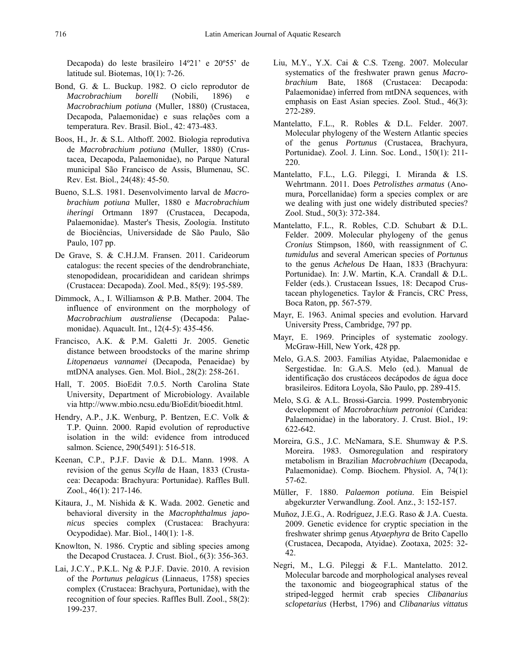Decapoda) do leste brasileiro 14º21' e 20º55' de latitude sul. Biotemas, 10(1): 7-26.

- Bond, G. & L. Buckup. 1982. O ciclo reprodutor de *Macrobrachium borelli* (Nobili, 1896) e *Macrobrachium potiuna* (Muller, 1880) (Crustacea, Decapoda, Palaemonidae) e suas relações com a temperatura. Rev. Brasil. Biol., 42: 473-483.
- Boos, H., Jr. & S.L. Althoff. 2002. Biologia reprodutiva de *Macrobrachium potiuna* (Muller, 1880) (Crustacea, Decapoda, Palaemonidae), no Parque Natural municipal São Francisco de Assis, Blumenau, SC. Rev. Est. Biol., 24(48): 45-50.
- Bueno, S.L.S. 1981. Desenvolvimento larval de *Macrobrachium potiuna* Muller, 1880 e *Macrobrachium iheringi* Ortmann 1897 (Crustacea, Decapoda, Palaemonidae). Master's Thesis, Zoologia. Instituto de Biociências, Universidade de São Paulo, São Paulo, 107 pp.
- De Grave, S. & C.H.J.M. Fransen. 2011. Carideorum catalogus: the recent species of the dendrobranchiate, stenopodidean, procarididean and caridean shrimps (Crustacea: Decapoda). Zool. Med., 85(9): 195-589.
- Dimmock, A., I. Williamson & P.B. Mather. 2004. The influence of environment on the morphology of *Macrobrachium australiense* (Decapoda: Palaemonidae). Aquacult. Int., 12(4-5): 435-456.
- Francisco, A.K. & P.M. Galetti Jr. 2005. Genetic distance between broodstocks of the marine shrimp *Litopenaeus vannamei* (Decapoda, Penaeidae) by mtDNA analyses. Gen. Mol. Biol., 28(2): 258-261.
- Hall, T. 2005. BioEdit 7.0.5. North Carolina State University, Department of Microbiology. Available via http://www.mbio.ncsu.edu/BioEdit/bioedit.html.
- Hendry, A.P., J.K. Wenburg, P. Bentzen, E.C. Volk & T.P. Quinn. 2000. Rapid evolution of reproductive isolation in the wild: evidence from introduced salmon. Science, 290(5491): 516-518.
- Keenan, C.P., P.J.F. Davie & D.L. Mann. 1998. A revision of the genus *Scylla* de Haan, 1833 (Crustacea: Decapoda: Brachyura: Portunidae). Raffles Bull. Zool., 46(1): 217-146.
- Kitaura, J., M. Nishida & K. Wada. 2002. Genetic and behavioral diversity in the *Macrophthalmus japonicus* species complex (Crustacea: Brachyura: Ocypodidae). Mar. Biol., 140(1): 1-8.
- Knowlton, N. 1986. Cryptic and sibling species among the Decapod Crustacea. J. Crust. Biol., 6(3): 356-363.
- Lai, J.C.Y., P.K.L. Ng & P.J.F. Davie. 2010. A revision of the *Portunus pelagicus* (Linnaeus, 1758) species complex (Crustacea: Brachyura, Portunidae), with the recognition of four species. Raffles Bull. Zool., 58(2): 199-237.
- Liu, M.Y., Y.X. Cai & C.S. Tzeng. 2007. Molecular systematics of the freshwater prawn genus *Macrobrachium* Bate, 1868 (Crustacea: Decapoda: Palaemonidae) inferred from mtDNA sequences, with emphasis on East Asian species. Zool. Stud., 46(3): 272-289.
- Mantelatto, F.L., R. Robles & D.L. Felder. 2007. Molecular phylogeny of the Western Atlantic species of the genus *Portunus* (Crustacea, Brachyura, Portunidae). Zool. J. Linn. Soc. Lond., 150(1): 211- 220.
- Mantelatto, F.L., L.G. Pileggi, I. Miranda & I.S. Wehrtmann. 2011. Does *Petrolisthes armatus* (Anomura, Porcellanidae) form a species complex or are we dealing with just one widely distributed species? Zool. Stud., 50(3): 372-384.
- Mantelatto, F.L., R. Robles, C.D. Schubart & D.L. Felder. 2009. Molecular phylogeny of the genus *Cronius* Stimpson, 1860, with reassignment of *C. tumidulus* and several American species of *Portunus*  to the genus *Achelous* De Haan, 1833 (Brachyura: Portunidae). In: J.W. Martin, K.A. Crandall & D.L. Felder (eds.). Crustacean Issues, 18: Decapod Crustacean phylogenetics. Taylor & Francis, CRC Press, Boca Raton, pp. 567-579.
- Mayr, E. 1963. Animal species and evolution. Harvard University Press, Cambridge, 797 pp.
- Mayr, E. 1969. Principles of systematic zoology. McGraw-Hill, New York, 428 pp.
- Melo, G.A.S. 2003. Famílias Atyidae, Palaemonidae e Sergestidae. In: G.A.S. Melo (ed.). Manual de identificação dos crustáceos decápodos de água doce brasileiros. Editora Loyola, São Paulo, pp. 289-415.
- Melo, S.G. & A.L. Brossi-Garcia. 1999. Postembryonic development of *Macrobrachium petronioi* (Caridea: Palaemonidae) in the laboratory. J. Crust. Biol., 19: 622-642.
- Moreira, G.S., J.C. McNamara, S.E. Shumway & P.S. Moreira. 1983. Osmoregulation and respiratory metabolism in Brazilian *Macrobrachium* (Decapoda, Palaemonidae). Comp. Biochem. Physiol. A, 74(1): 57-62.
- Müller, F. 1880. *Palaemon potiuna*. Ein Beispiel abgekurzter Verwandlung. Zool. Anz., 3: 152-157.
- Muñoz, J.E.G., A. Rodríguez, J.E.G. Raso & J.A. Cuesta. 2009. Genetic evidence for cryptic speciation in the freshwater shrimp genus *Atyaephyra* de Brito Capello (Crustacea, Decapoda, Atyidae). Zootaxa, 2025: 32- 42.
- Negri, M., L.G. Pileggi & F.L. Mantelatto. 2012. Molecular barcode and morphological analyses reveal the taxonomic and biogeographical status of the striped-legged hermit crab species *Clibanarius sclopetarius* (Herbst, 1796) and *Clibanarius vittatus*